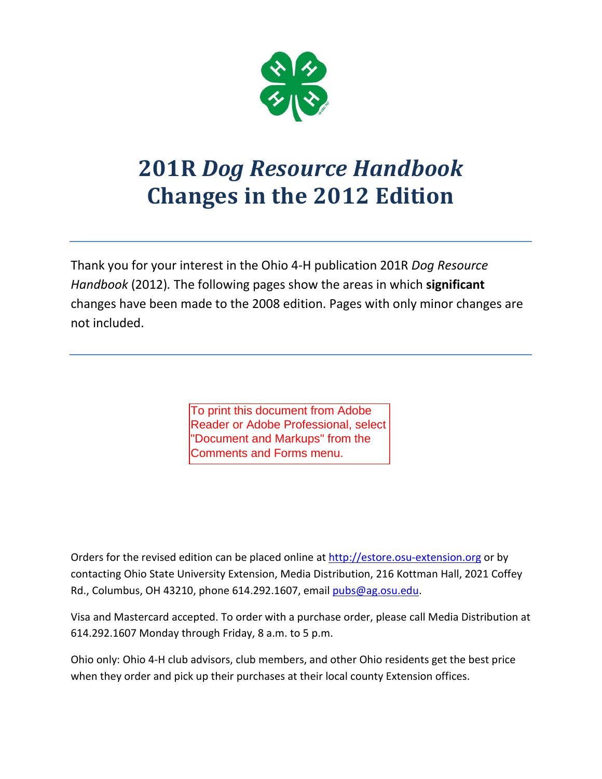

# **201R** *Dog Resource Handbook* **Changes in the 2012 Edition**

Thank you for your interest in the Ohio 4-H publication 201R *Dog Resource Handbook* (2012)*.* The following pages show the areas in which **significant** changes have been made to the 2008 edition. Pages with only minor changes are not included.

> To print this document from Adobe Reader or Adobe Professional, select "Document and Markups" from the Comments and Forms menu.

Orders for the revised edition can be placed online at [http://estore.osu-extension.org](http://estore.osu-extension.org/) or by contacting Ohio State University Extension, Media Distribution, 216 Kottman Hall, 2021 Coffey Rd., Columbus, OH 43210, phone 614.292.1607, email [pubs@ag.osu.edu.](mailto:pubs@ag.osu.edu)

Visa and Mastercard accepted. To order with a purchase order, please call Media Distribution at 614.292.1607 Monday through Friday, 8 a.m. to 5 p.m.

Ohio only: Ohio 4-H club advisors, club members, and other Ohio residents get the best price when they order and pick up their purchases at their local county Extension offices.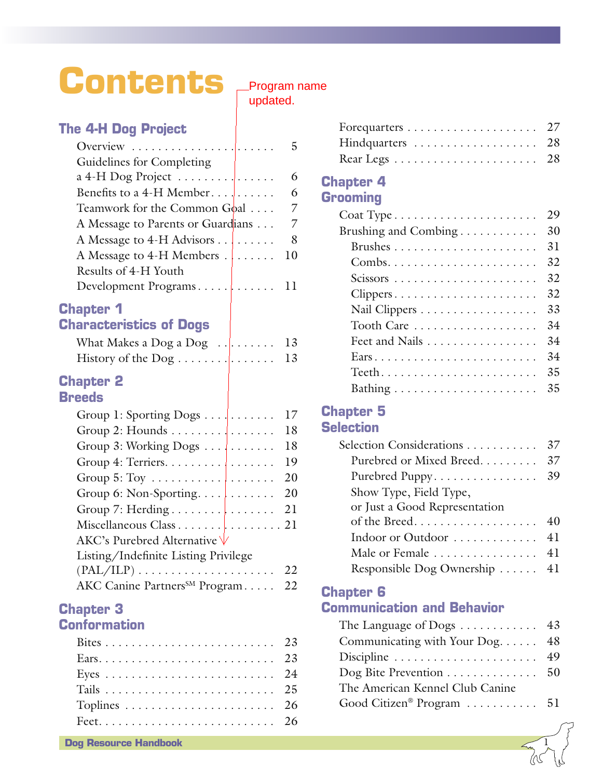# **Contents**

# Program name

updated.

### **The 4-H Dog Project**

| Overview $\ldots \ldots \ldots \ldots$ | 5 |
|----------------------------------------|---|
| Guidelines for Completing              |   |
| $a 4-H$ Dog Project                    | 6 |
| Benefits to a 4-H Member               | 6 |
| Teamwork for the Common Goal           | 7 |
| A Message to Parents or Guardians      | 7 |
| A Message to 4-H Advisors              | 8 |
| A Message to 4-H Members 10            |   |
| Results of 4-H Youth                   |   |
|                                        |   |
|                                        |   |

### **Chapter 1 Characteristics of Dogs**

| 13 |
|----|

### **Chapter 2 Breeds**

| Group 1: Sporting Dogs                                       | 17  |
|--------------------------------------------------------------|-----|
| Group 2: Hounds $\dots \dots$                                | 18  |
| Group 3: Working Dogs                                        | 18  |
| Group 4: Terriers.                                           | 19  |
| Group $5: \text{Toy} \dots \dots \dots \dots$                | 20  |
|                                                              | 20  |
|                                                              | 21  |
|                                                              |     |
| AKC's Purebred Alternative V                                 |     |
| Listing/Indefinite Listing Privilege                         |     |
| $(PAL/ILP) \ldots \ldots \ldots \ldots \ldots \ldots \ldots$ | 22. |
| AKC Canine Partners <sup>SM</sup> Program                    | 22  |

### **Chapter 3 Conformation**

| Hindquarters  28 |  |
|------------------|--|
|                  |  |

### **Chapter 4 Grooming**

|                      | 29 |
|----------------------|----|
| Brushing and Combing | 30 |
|                      | 31 |
|                      | 32 |
|                      | 32 |
|                      | 32 |
|                      | 33 |
| Tooth Care           | 34 |
| Feet and Nails       | 34 |
|                      | 34 |
|                      | 35 |
|                      | 35 |

# **Chapter 5**

### **Selection**

| Selection Considerations      | 37 |
|-------------------------------|----|
| Purebred or Mixed Breed       | 37 |
| Purebred Puppy                | 39 |
| Show Type, Field Type,        |    |
| or Just a Good Representation |    |
| of the Breed                  | 40 |
| Indoor or Outdoor             | 41 |
| Male or Female  41            |    |
| Responsible Dog Ownership  41 |    |

### **Chapter 6**

### **Communication and Behavior**

| The Language of Dogs $\dots \dots \dots \dots$ 43         |  |
|-----------------------------------------------------------|--|
| Communicating with Your Dog $48$                          |  |
| Discipline $\ldots \ldots \ldots \ldots \ldots \ldots$ 49 |  |
| Dog Bite Prevention  50                                   |  |
| The American Kennel Club Canine                           |  |
| Good Citizen® Program 51                                  |  |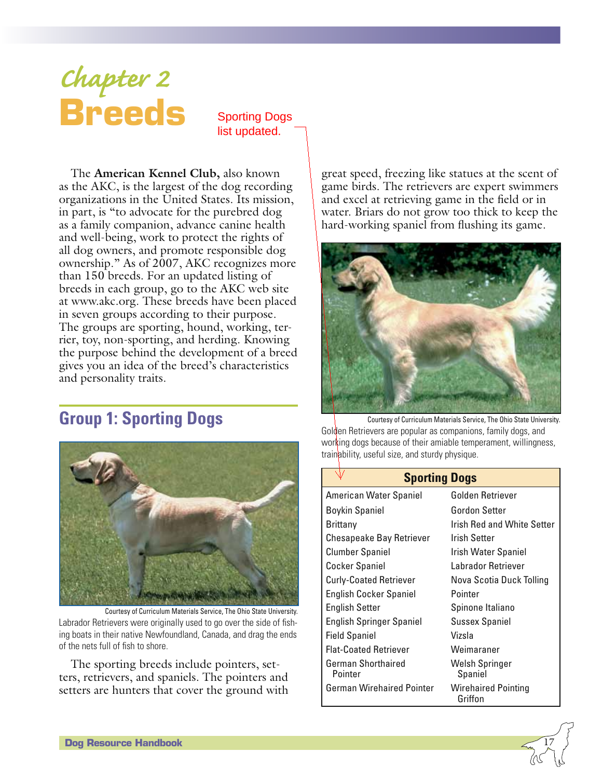# *Chapter 2* **Breeds**

Sporting Dogs list updated.

The **American Kennel Club,** also known as the AKC, is the largest of the dog recording organizations in the United States. Its mission, in part, is "to advocate for the purebred dog as a family companion, advance canine health and well-being, work to protect the rights of all dog owners, and promote responsible dog ownership." As of 2007, AKC recognizes more than 150 breeds. For an updated listing of breeds in each group, go to the AKC web site at www.akc.org. These breeds have been placed in seven groups according to their purpose. The groups are sporting, hound, working, terrier, toy, non-sporting, and herding. Knowing the purpose behind the development of a breed gives you an idea of the breed's characteristics and personality traits.

# **Group 1: Sporting Dogs**



Courtesy of Curriculum Materials Service, The Ohio State University. Labrador Retrievers were originally used to go over the side of fishing boats in their native Newfoundland, Canada, and drag the ends of the nets full of fish to shore.

The sporting breeds include pointers, setters, retrievers, and spaniels. The pointers and setters are hunters that cover the ground with

great speed, freezing like statues at the scent of game birds. The retrievers are expert swimmers and excel at retrieving game in the field or in water. Briars do not grow too thick to keep the hard-working spaniel from flushing its game.



Courtesy of Curriculum Materials Service, The Ohio State University. Golden Retrievers are popular as companions, family dogs, and working dogs because of their amiable temperament, willingness, trainability, useful size, and sturdy physique.

| <b>Sporting Dogs</b>             |                                   |
|----------------------------------|-----------------------------------|
| American Water Spaniel           | Golden Retriever                  |
| Boykin Spaniel                   | Gordon Setter                     |
| <b>Brittany</b>                  | <b>Irish Red and White Setter</b> |
| <b>Chesapeake Bay Retriever</b>  | Irish Setter                      |
| <b>Clumber Spaniel</b>           | <b>Irish Water Spaniel</b>        |
| <b>Cocker Spaniel</b>            | Labrador Retriever                |
| <b>Curly-Coated Retriever</b>    | Nova Scotia Duck Tolling          |
| <b>English Cocker Spaniel</b>    | Pointer                           |
| <b>English Setter</b>            | Spinone Italiano                  |
| <b>English Springer Spaniel</b>  | <b>Sussex Spaniel</b>             |
| <b>Field Spaniel</b>             | Vizsla                            |
| <b>Flat-Coated Retriever</b>     | Weimaraner                        |
| German Shorthaired<br>Pointer    | Welsh Springer<br>Spaniel         |
| <b>German Wirehaired Pointer</b> | Wirehaired Pointing<br>Griffon    |

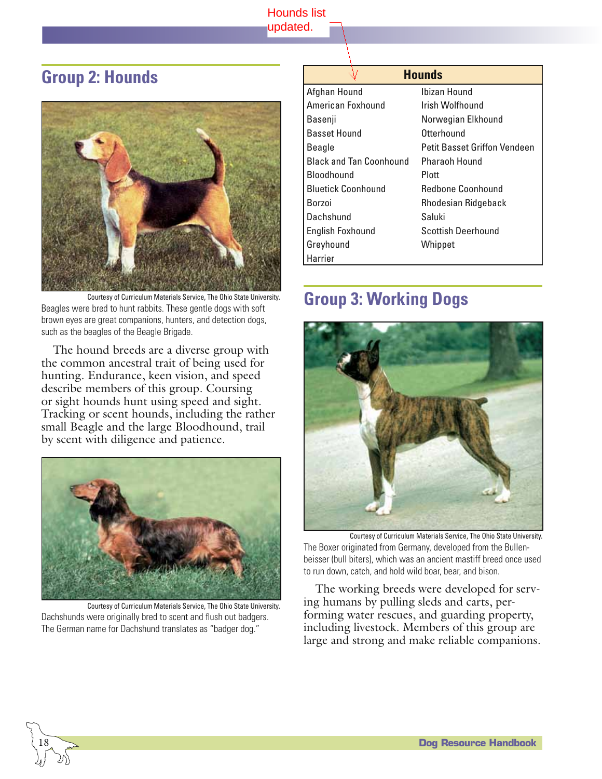#### Hounds list updated.

# **Group 2: Hounds**



Courtesy of Curriculum Materials Service, The Ohio State University. Beagles were bred to hunt rabbits. These gentle dogs with soft brown eyes are great companions, hunters, and detection dogs, such as the beagles of the Beagle Brigade.

The hound breeds are a diverse group with the common ancestral trait of being used for hunting. Endurance, keen vision, and speed describe members of this group. Coursing or sight hounds hunt using speed and sight. Tracking or scent hounds, including the rather small Beagle and the large Bloodhound, trail by scent with diligence and patience.



Courtesy of Curriculum Materials Service, The Ohio State University. Dachshunds were originally bred to scent and flush out badgers. The German name for Dachshund translates as "badger dog."

| <b>Hounds</b>                  |                              |
|--------------------------------|------------------------------|
| Afghan Hound                   | Ibizan Hound                 |
| American Foxhound              | Irish Wolfhound              |
| Basenji                        | Norwegian Elkhound           |
| <b>Basset Hound</b>            | Otterhound                   |
| Beagle                         | Petit Basset Griffon Vendeen |
| <b>Black and Tan Coonhound</b> | Pharaoh Hound                |
| Bloodhound                     | Plott                        |
| <b>Bluetick Coonhound</b>      | Redbone Coonhound            |
| Borzoi                         | Rhodesian Ridgeback          |
| Dachshund                      | Saluki                       |
| <b>English Foxhound</b>        | Scottish Deerhound           |
| Greyhound                      | Whippet                      |
| Harrier                        |                              |

# **Group 3: Working Dogs**



Courtesy of Curriculum Materials Service, The Ohio State University. The Boxer originated from Germany, developed from the Bullenbeisser (bull biters), which was an ancient mastiff breed once used to run down, catch, and hold wild boar, bear, and bison.

The working breeds were developed for serving humans by pulling sleds and carts, performing water rescues, and guarding property, including livestock. Members of this group are large and strong and make reliable companions.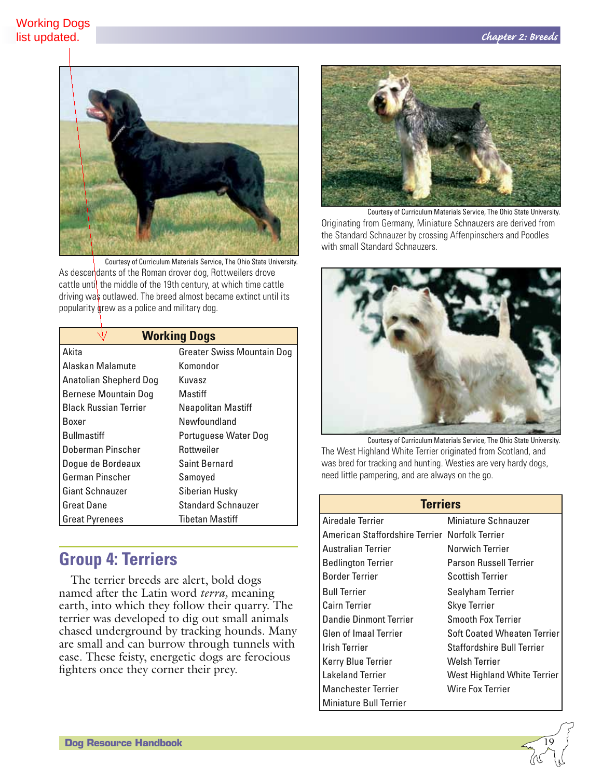

Courtesy of Curriculum Materials Service, The Ohio State University. As descendants of the Roman drover dog, Rottweilers drove cattle until the middle of the 19th century, at which time cattle driving was outlawed. The breed almost became extinct until its popularity grew as a police and military dog.

### **Working Dogs**

| Akita                         | <b>Greater Swiss Mountain Dog</b> |
|-------------------------------|-----------------------------------|
| Alaskan Malamute              | Komondor                          |
| <b>Anatolian Shepherd Dog</b> | Kuvasz                            |
| Bernese Mountain Dog          | Mastiff                           |
| <b>Black Russian Terrier</b>  | Neapolitan Mastiff                |
| Boxer                         | Newfoundland                      |
| <b>Bullmastiff</b>            | Portuguese Water Dog              |
| Doberman Pinscher             | Rottweiler                        |
| Dogue de Bordeaux             | <b>Saint Bernard</b>              |
| German Pinscher               | Samoyed                           |
| <b>Giant Schnauzer</b>        | Siberian Husky                    |
| <b>Great Dane</b>             | <b>Standard Schnauzer</b>         |
| <b>Great Pyrenees</b>         | <b>Tibetan Mastiff</b>            |

# **Group 4: Terriers**

The terrier breeds are alert, bold dogs named after the Latin word *terra,* meaning earth, into which they follow their quarry. The terrier was developed to dig out small animals chased underground by tracking hounds. Many are small and can burrow through tunnels with ease. These feisty, energetic dogs are ferocious fighters once they corner their prey.



Courtesy of Curriculum Materials Service, The Ohio State University. Originating from Germany, Miniature Schnauzers are derived from the Standard Schnauzer by crossing Affenpinschers and Poodles with small Standard Schnauzers.



Courtesy of Curriculum Materials Service, The Ohio State University. The West Highland White Terrier originated from Scotland, and was bred for tracking and hunting. Westies are very hardy dogs, need little pampering, and are always on the go.

| <b>Terriers</b>                                |                                    |
|------------------------------------------------|------------------------------------|
| Airedale Terrier                               | Miniature Schnauzer                |
| American Staffordshire Terrier Norfolk Terrier |                                    |
| Australian Terrier                             | Norwich Terrier                    |
| <b>Bedlington Terrier</b>                      | <b>Parson Russell Terrier</b>      |
| <b>Border Terrier</b>                          | Scottish Terrier                   |
| <b>Bull Terrier</b>                            | Sealyham Terrier                   |
| <b>Cairn Terrier</b>                           | <b>Skye Terrier</b>                |
| Dandie Dinmont Terrier                         | <b>Smooth Fox Terrier</b>          |
| <b>Glen of Imaal Terrier</b>                   | <b>Soft Coated Wheaten Terrier</b> |
| <b>Irish Terrier</b>                           | Staffordshire Bull Terrier         |
| Kerry Blue Terrier                             | Welsh Terrier                      |
| <b>Lakeland Terrier</b>                        | West Highland White Terrier        |
| <b>Manchester Terrier</b>                      | Wire Fox Terrier                   |
| <b>Miniature Bull Terrier</b>                  |                                    |

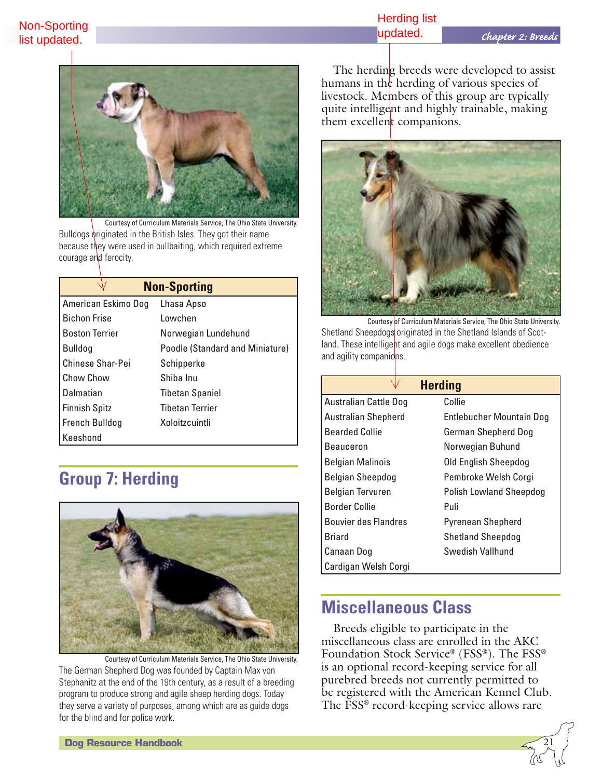### Herding list updated.



Courtesy of Curriculum Materials Service, The Ohio State University. Bulldogs originated in the British Isles. They got their name because they were used in bullbaiting, which required extreme courage and ferocity.

| <b>Non-Sporting</b>   |                                 |
|-----------------------|---------------------------------|
| American Eskimo Dog   | Lhasa Apso                      |
| <b>Bichon Frise</b>   | Lowchen                         |
| <b>Boston Terrier</b> | Norwegian Lundehund             |
| Bulldog               | Poodle (Standard and Miniature) |
| Chinese Shar-Pei      | Schipperke                      |
| Chow Chow             | Shiba Inu                       |
| Dalmatian             | <b>Tibetan Spaniel</b>          |
| <b>Finnish Spitz</b>  | <b>Tibetan Terrier</b>          |
| <b>French Bulldog</b> | Xoloitzcuintli                  |
| Keeshond              |                                 |

# **Group 7: Herding**



Courtesy of Curriculum Materials Service, The Ohio State University. The German Shepherd Dog was founded by Captain Max von Stephanitz at the end of the 19th century, as a result of a breeding program to produce strong and agile sheep herding dogs. Today they serve a variety of purposes, among which are as guide dogs for the blind and for police work.

The herding breeds were developed to assist humans in the herding of various species of livestock. Members of this group are typically quite intelligent and highly trainable, making them excellent companions.



Courtesy of Curriculum Materials Service, The Ohio State University. Shetland Sheepdogs originated in the Shetland Islands of Scotland. These intelligent and agile dogs make excellent obedience and agility companions.

| <b>Herding</b>               |                                |  |
|------------------------------|--------------------------------|--|
| <b>Australian Cattle Dog</b> | Collie                         |  |
| <b>Australian Shepherd</b>   | Entlebucher Mountain Dog       |  |
| <b>Bearded Collie</b>        | German Shepherd Dog            |  |
| <b>Beauceron</b>             | Norwegian Buhund               |  |
| <b>Belgian Malinois</b>      | Old English Sheepdog           |  |
| Belgian Sheepdog             | Pembroke Welsh Corgi           |  |
| <b>Belgian Tervuren</b>      | <b>Polish Lowland Sheepdog</b> |  |
| <b>Border Collie</b>         | Puli                           |  |
| <b>Bouvier des Flandres</b>  | <b>Pyrenean Shepherd</b>       |  |
| Briard                       | <b>Shetland Sheepdog</b>       |  |
| Canaan Dog                   | Swedish Vallhund               |  |
| Cardigan Welsh Corgi         |                                |  |

## **Miscellaneous Class**

Breeds eligible to participate in the miscellaneous class are enrolled in the AKC Foundation Stock Service® (FSS®). The FSS® is an optional record-keeping service for all purebred breeds not currently permitted to be registered with the American Kennel Club. The FSS® record-keeping service allows rare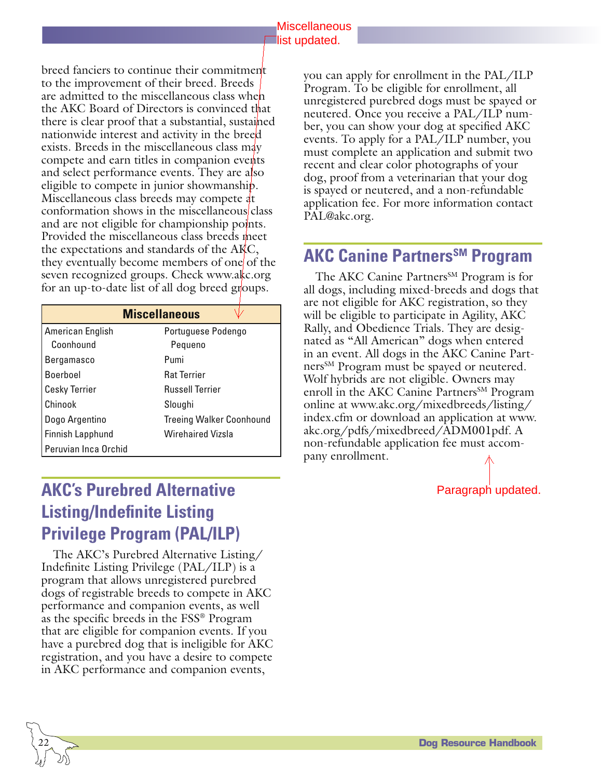#### Miscellaneous **list updated.**

breed fanciers to continue their commitment to the improvement of their breed. Breeds are admitted to the miscellaneous class when the AKC Board of Directors is convinced that there is clear proof that a substantial, sustained nationwide interest and activity in the breed exists. Breeds in the miscellaneous class may compete and earn titles in companion events and select performance events. They are also eligible to compete in junior showmanship. Miscellaneous class breeds may compete at conformation shows in the miscellaneous class and are not eligible for championship points. Provided the miscellaneous class breeds meet the expectations and standards of the AKC, they eventually become members of one of the seven recognized groups. Check www.akc.org for an up-to-date list of all dog breed groups.

| <b>Miscellaneous</b> |                                 |  |
|----------------------|---------------------------------|--|
| American English     | Portuguese Podengo              |  |
| Coonhound            | Pequeno                         |  |
| Bergamasco           | Pumi                            |  |
| Boerboel             | <b>Rat Terrier</b>              |  |
| <b>Cesky Terrier</b> | <b>Russell Terrier</b>          |  |
| l Chinook            | Sloughi                         |  |
| Dogo Argentino       | <b>Treeing Walker Coonhound</b> |  |
| Finnish Lapphund     | <b>Wirehaired Vizsla</b>        |  |
| Peruvian Inca Orchid |                                 |  |

you can apply for enrollment in the PAL/ILP Program. To be eligible for enrollment, all unregistered purebred dogs must be spayed or neutered. Once you receive a PAL/ILP number, you can show your dog at specified AKC events. To apply for a PAL/ILP number, you must complete an application and submit two recent and clear color photographs of your dog, proof from a veterinarian that your dog is spayed or neutered, and a non-refundable application fee. For more information contact PAL@akc.org.

# **AKC Canine Partners<sup>SM</sup> Program**

The AKC Canine Partners<sup>SM</sup> Program is for all dogs, including mixed-breeds and dogs that are not eligible for AKC registration, so they will be eligible to participate in Agility, AKC Rally, and Obedience Trials. They are designated as "All American" dogs when entered in an event. All dogs in the AKC Canine Partners<sup>SM</sup> Program must be spayed or neutered. Wolf hybrids are not eligible. Owners may enroll in the AKC Canine Partners<sup>SM</sup> Program online at www.akc.org/mixedbreeds/listing/ index.cfm or download an application at www. akc.org/pdfs/mixedbreed/ADM001pdf. A non-refundable application fee must accompany enrollment.

# **AKC's Purebred Alternative Listing/Indefinite Listing Privilege Program (PAL/ILP)**

The AKC's Purebred Alternative Listing/ Indefinite Listing Privilege (PAL/ILP) is a program that allows unregistered purebred dogs of registrable breeds to compete in AKC performance and companion events, as well as the specific breeds in the FSS® Program that are eligible for companion events. If you have a purebred dog that is ineligible for AKC registration, and you have a desire to compete in AKC performance and companion events,

Paragraph updated.

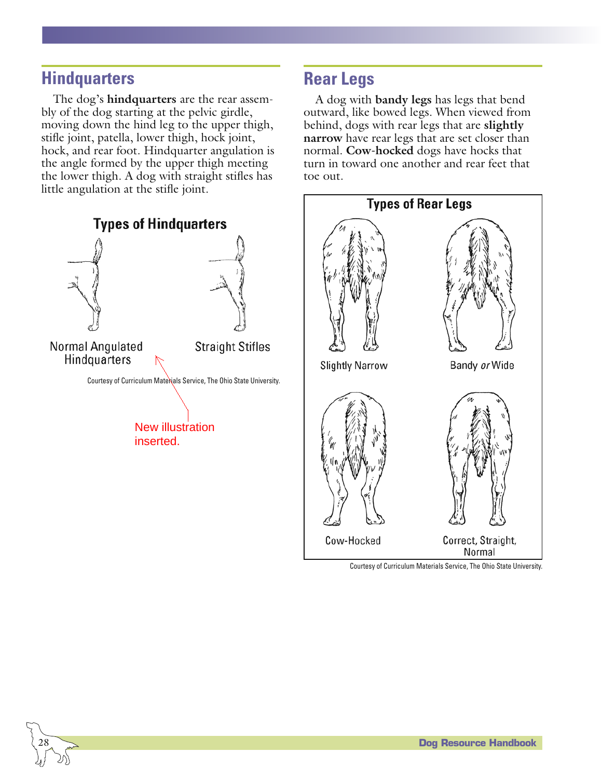# **Hindquarters**

 $\overline{\phantom{0}}$ 28

The dog's **hindquarters** are the rear assembly of the dog starting at the pelvic girdle, moving down the hind leg to the upper thigh, stifle joint, patella, lower thigh, hock joint, hock, and rear foot. Hindquarter angulation is the angle formed by the upper thigh meeting the lower thigh. A dog with straight stifles has little angulation at the stifle joint.



# **Rear Legs**

A dog with **bandy legs** has legs that bend outward, like bowed legs. When viewed from behind, dogs with rear legs that are **slightly narrow** have rear legs that are set closer than normal. **Cow-hocked** dogs have hocks that turn in toward one another and rear feet that toe out.



Courtesy of Curriculum Materials Service, The Ohio State University.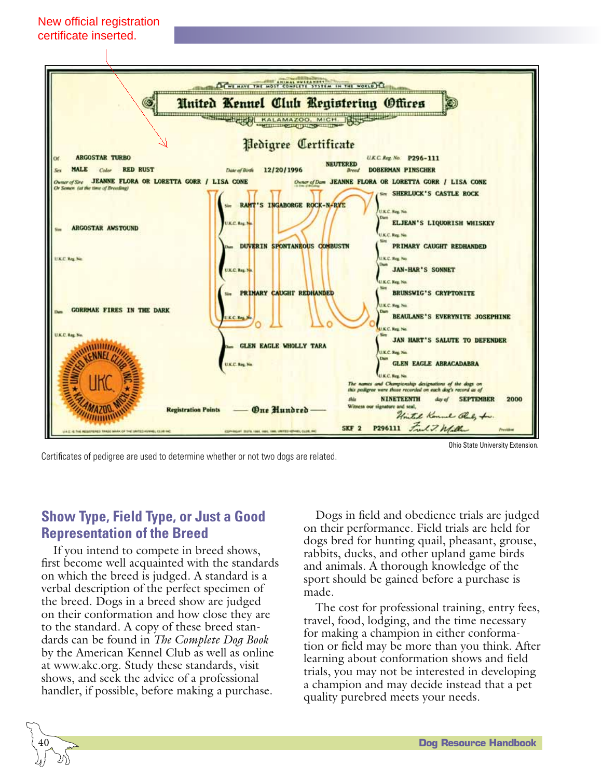



Certificates of pedigree are used to determine whether or not two dogs are related.

Ohio State University Extension.

### **Show Type, Field Type, or Just a Good Representation of the Breed**

If you intend to compete in breed shows, first become well acquainted with the standards on which the breed is judged. A standard is a verbal description of the perfect specimen of the breed. Dogs in a breed show are judged on their conformation and how close they are to the standard. A copy of these breed standards can be found in *The Complete Dog Book* by the American Kennel Club as well as online at www.akc.org. Study these standards, visit shows, and seek the advice of a professional handler, if possible, before making a purchase.

Dogs in field and obedience trials are judged on their performance. Field trials are held for dogs bred for hunting quail, pheasant, grouse, rabbits, ducks, and other upland game birds and animals. A thorough knowledge of the sport should be gained before a purchase is made.

The cost for professional training, entry fees, travel, food, lodging, and the time necessary for making a champion in either conformation or field may be more than you think. After learning about conformation shows and field trials, you may not be interested in developing a champion and may decide instead that a pet quality purebred meets your needs.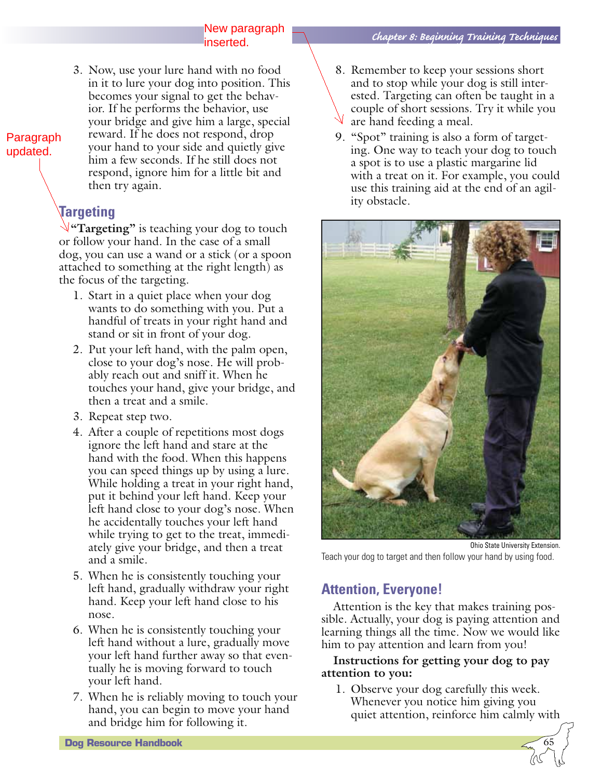3. Now, use your lure hand with no food in it to lure your dog into position. This becomes your signal to get the behavior. If he performs the behavior, use your bridge and give him a large, special reward. If he does not respond, drop your hand to your side and quietly give him a few seconds. If he still does not respond, ignore him for a little bit and then try again.

## **Targeting**

Paragraph updated.

> **"Targeting"** is teaching your dog to touch or follow your hand. In the case of a small dog, you can use a wand or a stick (or a spoon attached to something at the right length) as the focus of the targeting.

- 1. Start in a quiet place when your dog wants to do something with you. Put a handful of treats in your right hand and stand or sit in front of your dog.
- 2. Put your left hand, with the palm open, close to your dog's nose. He will probably reach out and sniff it. When he touches your hand, give your bridge, and then a treat and a smile.
- 3. Repeat step two.

**Dog Resource Handbook** 

- 4. After a couple of repetitions most dogs ignore the left hand and stare at the hand with the food. When this happens you can speed things up by using a lure. While holding a treat in your right hand, put it behind your left hand. Keep your left hand close to your dog's nose. When he accidentally touches your left hand while trying to get to the treat, immediately give your bridge, and then a treat and a smile.
- 5. When he is consistently touching your left hand, gradually withdraw your right hand. Keep your left hand close to his nose.
- 6. When he is consistently touching your left hand without a lure, gradually move your left hand further away so that eventually he is moving forward to touch your left hand.
- 7. When he is reliably moving to touch your hand, you can begin to move your hand and bridge him for following it.
- 8. Remember to keep your sessions short and to stop while your dog is still interested. Targeting can often be taught in a couple of short sessions. Try it while you are hand feeding a meal.
- 9. "Spot" training is also a form of targeting. One way to teach your dog to touch a spot is to use a plastic margarine lid with a treat on it. For example, you could use this training aid at the end of an agility obstacle.



Ohio State University Extension. Teach your dog to target and then follow your hand by using food.

### **Attention, Everyone!**

Attention is the key that makes training possible. Actually, your dog is paying attention and learning things all the time. Now we would like him to pay attention and learn from you!

#### **Instructions for getting your dog to pay attention to you:**

1. Observe your dog carefully this week. Whenever you notice him giving you quiet attention, reinforce him calmly with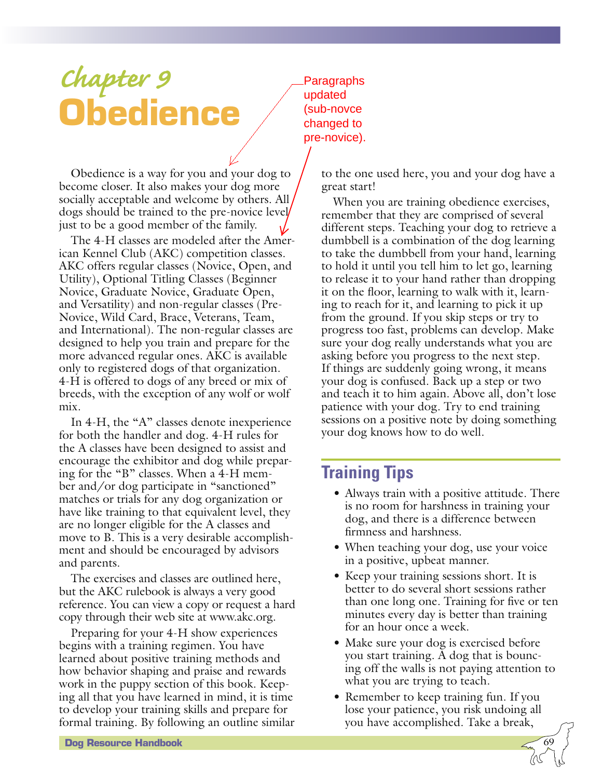# *Chapter 9* **Obedience**

Obedience is a way for you and your dog to become closer. It also makes your dog more socially acceptable and welcome by others. All dogs should be trained to the pre-novice level just to be a good member of the family.

The 4-H classes are modeled after the American Kennel Club (AKC) competition classes. AKC offers regular classes (Novice, Open, and Utility), Optional Titling Classes (Beginner Novice, Graduate Novice, Graduate Open, and Versatility) and non-regular classes (Pre-Novice, Wild Card, Brace, Veterans, Team, and International). The non-regular classes are designed to help you train and prepare for the more advanced regular ones. AKC is available only to registered dogs of that organization. 4-H is offered to dogs of any breed or mix of breeds, with the exception of any wolf or wolf mix.

In 4-H, the "A" classes denote inexperience for both the handler and dog. 4-H rules for the A classes have been designed to assist and encourage the exhibitor and dog while preparing for the "B" classes. When a 4-H member and/or dog participate in "sanctioned" matches or trials for any dog organization or have like training to that equivalent level, they are no longer eligible for the A classes and move to B. This is a very desirable accomplishment and should be encouraged by advisors and parents.

The exercises and classes are outlined here, but the AKC rulebook is always a very good reference. You can view a copy or request a hard copy through their web site at www.akc.org.

Preparing for your 4-H show experiences begins with a training regimen. You have learned about positive training methods and how behavior shaping and praise and rewards work in the puppy section of this book. Keeping all that you have learned in mind, it is time to develop your training skills and prepare for formal training. By following an outline similar

Paragraphs updated (sub-novce changed to pre-novice).

> to the one used here, you and your dog have a great start!

> When you are training obedience exercises, remember that they are comprised of several different steps. Teaching your dog to retrieve a dumbbell is a combination of the dog learning to take the dumbbell from your hand, learning to hold it until you tell him to let go, learning to release it to your hand rather than dropping it on the floor, learning to walk with it, learning to reach for it, and learning to pick it up from the ground. If you skip steps or try to progress too fast, problems can develop. Make sure your dog really understands what you are asking before you progress to the next step. If things are suddenly going wrong, it means your dog is confused. Back up a step or two and teach it to him again. Above all, don't lose patience with your dog. Try to end training sessions on a positive note by doing something your dog knows how to do well.

# **Training Tips**

- Always train with a positive attitude. There is no room for harshness in training your dog, and there is a difference between firmness and harshness.
- When teaching your dog, use your voice in a positive, upbeat manner.
- Keep your training sessions short. It is better to do several short sessions rather than one long one. Training for five or ten minutes every day is better than training for an hour once a week.
- Make sure your dog is exercised before you start training. A dog that is bouncing off the walls is not paying attention to what you are trying to teach.
- Remember to keep training fun. If you lose your patience, you risk undoing all you have accomplished. Take a break,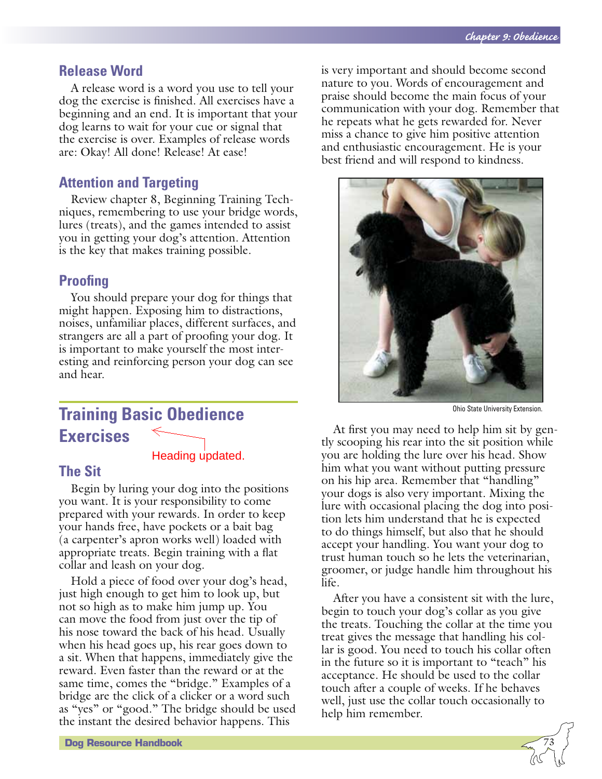#### **Release Word**

A release word is a word you use to tell your dog the exercise is finished. All exercises have a beginning and an end. It is important that your dog learns to wait for your cue or signal that the exercise is over. Examples of release words are: Okay! All done! Release! At ease!

### **Attention and Targeting**

Review chapter 8, Beginning Training Techniques, remembering to use your bridge words, lures (treats), and the games intended to assist you in getting your dog's attention. Attention is the key that makes training possible.

### **Proofing**

You should prepare your dog for things that might happen. Exposing him to distractions, noises, unfamiliar places, different surfaces, and strangers are all a part of proofing your dog. It is important to make yourself the most interesting and reinforcing person your dog can see and hear.

#### **Training Basic Obedience**  $\Leftarrow$ **Exercises**

#### Heading updated.

#### **The Sit**

Begin by luring your dog into the positions you want. It is your responsibility to come prepared with your rewards. In order to keep your hands free, have pockets or a bait bag (a carpenter's apron works well) loaded with appropriate treats. Begin training with a flat collar and leash on your dog.

Hold a piece of food over your dog's head, just high enough to get him to look up, but not so high as to make him jump up. You can move the food from just over the tip of his nose toward the back of his head. Usually when his head goes up, his rear goes down to a sit. When that happens, immediately give the reward. Even faster than the reward or at the same time, comes the "bridge." Examples of a bridge are the click of a clicker or a word such as "yes" or "good." The bridge should be used the instant the desired behavior happens. This

is very important and should become second nature to you. Words of encouragement and praise should become the main focus of your communication with your dog. Remember that he repeats what he gets rewarded for. Never miss a chance to give him positive attention and enthusiastic encouragement. He is your best friend and will respond to kindness.



Ohio State University Extension.

At first you may need to help him sit by gently scooping his rear into the sit position while you are holding the lure over his head. Show him what you want without putting pressure on his hip area. Remember that "handling" your dogs is also very important. Mixing the lure with occasional placing the dog into position lets him understand that he is expected to do things himself, but also that he should accept your handling. You want your dog to trust human touch so he lets the veterinarian, groomer, or judge handle him throughout his life.

After you have a consistent sit with the lure, begin to touch your dog's collar as you give the treats. Touching the collar at the time you treat gives the message that handling his collar is good. You need to touch his collar often in the future so it is important to "teach" his acceptance. He should be used to the collar touch after a couple of weeks. If he behaves well, just use the collar touch occasionally to help him remember.

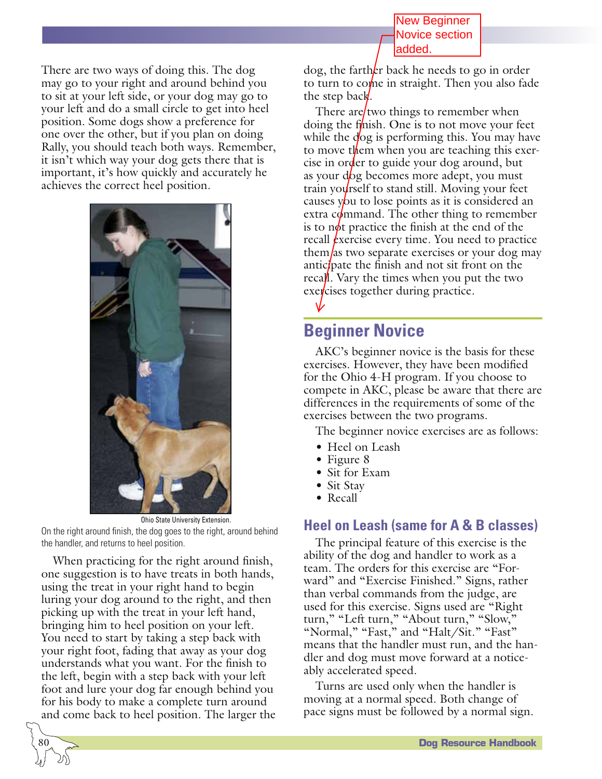New Beginner Novice section added.

There are two ways of doing this. The dog may go to your right and around behind you to sit at your left side, or your dog may go to your left and do a small circle to get into heel position. Some dogs show a preference for one over the other, but if you plan on doing Rally, you should teach both ways. Remember, it isn't which way your dog gets there that is important, it's how quickly and accurately he achieves the correct heel position.



Ohio State University Extension. On the right around finish, the dog goes to the right, around behind the handler, and returns to heel position.

When practicing for the right around finish, one suggestion is to have treats in both hands, using the treat in your right hand to begin luring your dog around to the right, and then picking up with the treat in your left hand, bringing him to heel position on your left. You need to start by taking a step back with your right foot, fading that away as your dog understands what you want. For the finish to the left, begin with a step back with your left foot and lure your dog far enough behind you for his body to make a complete turn around and come back to heel position. The larger the

 $\overline{\phantom{0}}$ 80 dog, the farth $k$ r back he needs to go in order to turn to come in straight. Then you also fade the step back.

There are two things to remember when doing the f $\sinh$ . One is to not move your feet while the dog is performing this. You may have to move them when you are teaching this exercise in order to guide your dog around, but as your  $\frac{d}{dg}$  becomes more adept, you must train your reef to stand still. Moving your feet causes you to lose points as it is considered an extra command. The other thing to remember is to not practice the finish at the end of the recall *exercise* every time. You need to practice them/as two separate exercises or your dog may antic *pation* the finish and not sit front on the recall. Vary the times when you put the two  $e$ xercises together during practice.

# **Beginner Novice**

AKC's beginner novice is the basis for these exercises. However, they have been modified for the Ohio 4-H program. If you choose to compete in AKC, please be aware that there are differences in the requirements of some of the exercises between the two programs.

The beginner novice exercises are as follows:

- Heel on Leash
- Figure 8
- Sit for Exam
- Sit Stav
- Recall

### **Heel on Leash (same for A & B classes)**

The principal feature of this exercise is the ability of the dog and handler to work as a team. The orders for this exercise are "Forward" and "Exercise Finished." Signs, rather than verbal commands from the judge, are used for this exercise. Signs used are "Right turn," "Left turn," "About turn," "Slow," "Normal," "Fast," and "Halt/Sit." "Fast" means that the handler must run, and the handler and dog must move forward at a noticeably accelerated speed.

Turns are used only when the handler is moving at a normal speed. Both change of pace signs must be followed by a normal sign.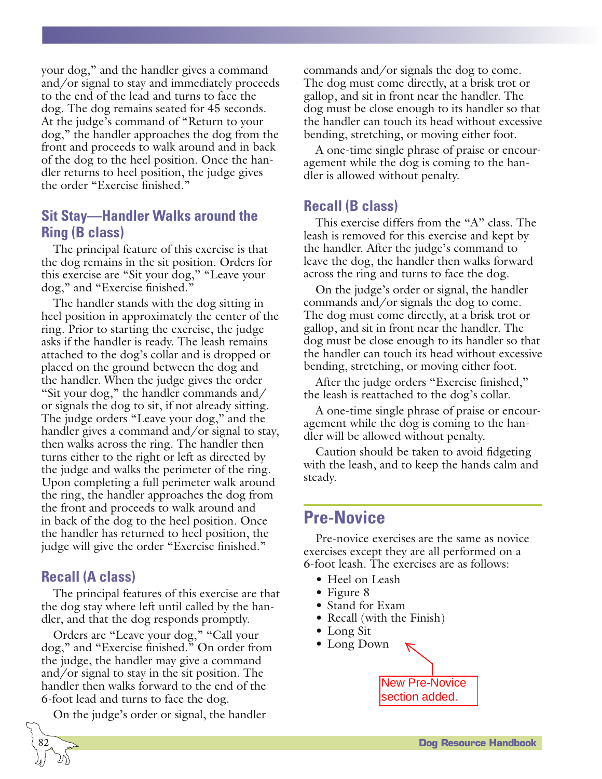your dog," and the handler gives a command and/or signal to stay and immediately proceeds to the end of the lead and turns to face the dog. The dog remains seated for 45 seconds. At the judge's command of "Return to your dog," the handler approaches the dog from the front and proceeds to walk around and in back of the dog to the heel position. Once the handler returns to heel position, the judge gives the order "Exercise finished."

### **Sit Stay—Handler Walks around the Ring (B class)**

The principal feature of this exercise is that the dog remains in the sit position. Orders for this exercise are "Sit your dog," "Leave your dog," and "Exercise finished."

The handler stands with the dog sitting in heel position in approximately the center of the ring. Prior to starting the exercise, the judge asks if the handler is ready. The leash remains attached to the dog's collar and is dropped or placed on the ground between the dog and the handler. When the judge gives the order "Sit your dog," the handler commands and/ or signals the dog to sit, if not already sitting. The judge orders "Leave your dog," and the handler gives a command and/or signal to stay, then walks across the ring. The handler then turns either to the right or left as directed by the judge and walks the perimeter of the ring. Upon completing a full perimeter walk around the ring, the handler approaches the dog from the front and proceeds to walk around and in back of the dog to the heel position. Once the handler has returned to heel position, the judge will give the order "Exercise finished."

### **Recall (A class)**

 $\overline{\phantom{0}}$ 82

The principal features of this exercise are that the dog stay where left until called by the handler, and that the dog responds promptly.

Orders are "Leave your dog," "Call your dog," and "Exercise finished." On order from the judge, the handler may give a command and/or signal to stay in the sit position. The handler then walks forward to the end of the 6-foot lead and turns to face the dog.

On the judge's order or signal, the handler

commands and/or signals the dog to come. The dog must come directly, at a brisk trot or gallop, and sit in front near the handler. The dog must be close enough to its handler so that the handler can touch its head without excessive bending, stretching, or moving either foot.

A one-time single phrase of praise or encouragement while the dog is coming to the handler is allowed without penalty.

### **Recall (B class)**

This exercise differs from the "A" class. The leash is removed for this exercise and kept by the handler. After the judge's command to leave the dog, the handler then walks forward across the ring and turns to face the dog.

On the judge's order or signal, the handler commands and/or signals the dog to come. The dog must come directly, at a brisk trot or gallop, and sit in front near the handler. The dog must be close enough to its handler so that the handler can touch its head without excessive bending, stretching, or moving either foot.

After the judge orders "Exercise finished," the leash is reattached to the dog's collar.

A one-time single phrase of praise or encouragement while the dog is coming to the handler will be allowed without penalty.

Caution should be taken to avoid fidgeting with the leash, and to keep the hands calm and steady.

### **Pre-Novice**

Pre-novice exercises are the same as novice exercises except they are all performed on a 6-foot leash. The exercises are as follows:

- Heel on Leash
- Figure 8
- Stand for Exam
- Recall (with the Finish)
- Long Sit

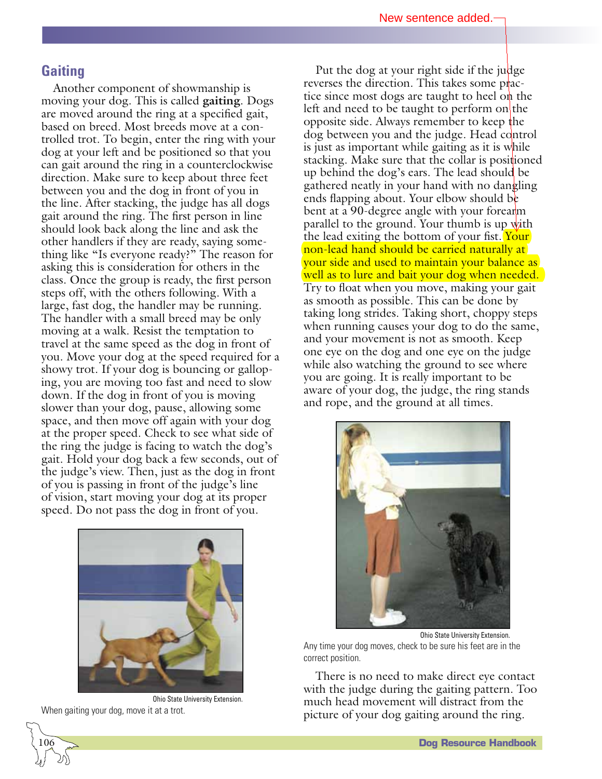#### **Gaiting**

Another component of showmanship is moving your dog. This is called **gaiting**. Dogs are moved around the ring at a specified gait, based on breed. Most breeds move at a controlled trot. To begin, enter the ring with your dog at your left and be positioned so that you can gait around the ring in a counterclockwise direction. Make sure to keep about three feet between you and the dog in front of you in the line. After stacking, the judge has all dogs gait around the ring. The first person in line should look back along the line and ask the other handlers if they are ready, saying something like "Is everyone ready?" The reason for asking this is consideration for others in the class. Once the group is ready, the first person steps off, with the others following. With a large, fast dog, the handler may be running. The handler with a small breed may be only moving at a walk. Resist the temptation to travel at the same speed as the dog in front of you. Move your dog at the speed required for a showy trot. If your dog is bouncing or galloping, you are moving too fast and need to slow down. If the dog in front of you is moving slower than your dog, pause, allowing some space, and then move off again with your dog at the proper speed. Check to see what side of the ring the judge is facing to watch the dog's gait. Hold your dog back a few seconds, out of the judge's view. Then, just as the dog in front of you is passing in front of the judge's line of vision, start moving your dog at its proper speed. Do not pass the dog in front of you.



Ohio State University Extension. When gaiting your dog, move it at a trot.

 $\overline{\phantom{0}}$ 106

Put the dog at your right side if the judge reverses the direction. This takes some practice since most dogs are taught to heel on the left and need to be taught to perform on the opposite side. Always remember to keep the dog between you and the judge. Head control is just as important while gaiting as it is while stacking. Make sure that the collar is positioned up behind the dog's ears. The lead should be gathered neatly in your hand with no dangling ends flapping about. Your elbow should be bent at a 90-degree angle with your forearm parallel to the ground. Your thumb is up with the lead exiting the bottom of your fist. Your non-lead hand should be carried naturally at your side and used to maintain your balance as well as to lure and bait your dog when needed. Try to float when you move, making your gait as smooth as possible. This can be done by taking long strides. Taking short, choppy steps when running causes your dog to do the same, and your movement is not as smooth. Keep one eye on the dog and one eye on the judge while also watching the ground to see where you are going. It is really important to be aware of your dog, the judge, the ring stands and rope, and the ground at all times.



Ohio State University Extension. Any time your dog moves, check to be sure his feet are in the correct position.

There is no need to make direct eye contact with the judge during the gaiting pattern. Too much head movement will distract from the picture of your dog gaiting around the ring.

**Dog Resource Handbook**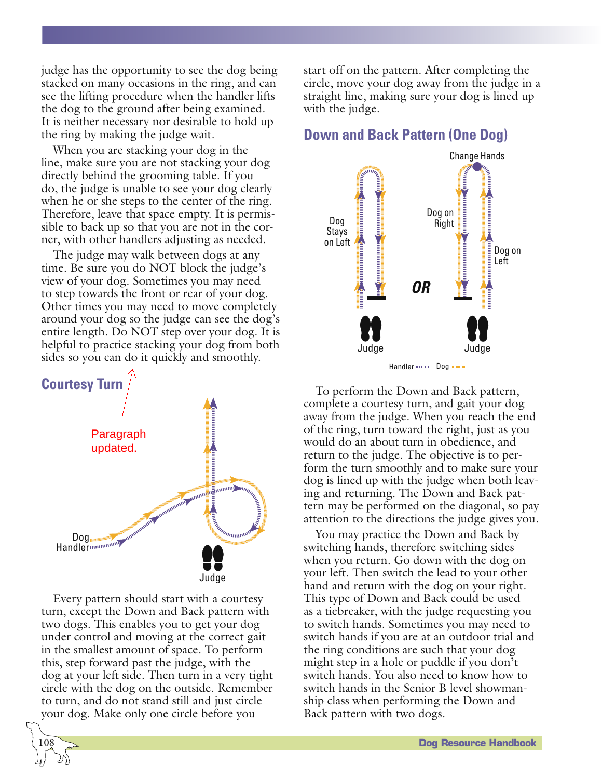judge has the opportunity to see the dog being stacked on many occasions in the ring, and can see the lifting procedure when the handler lifts the dog to the ground after being examined. It is neither necessary nor desirable to hold up the ring by making the judge wait.

When you are stacking your dog in the line, make sure you are not stacking your dog directly behind the grooming table. If you do, the judge is unable to see your dog clearly when he or she steps to the center of the ring. Therefore, leave that space empty. It is permissible to back up so that you are not in the corner, with other handlers adjusting as needed.

The judge may walk between dogs at any time. Be sure you do NOT block the judge's view of your dog. Sometimes you may need to step towards the front or rear of your dog. Other times you may need to move completely around your dog so the judge can see the dog's entire length. Do NOT step over your dog. It is helpful to practice stacking your dog from both sides so you can do it quickly and smoothly.



Every pattern should start with a courtesy turn, except the Down and Back pattern with two dogs. This enables you to get your dog under control and moving at the correct gait in the smallest amount of space. To perform this, step forward past the judge, with the dog at your left side. Then turn in a very tight circle with the dog on the outside. Remember to turn, and do not stand still and just circle your dog. Make only one circle before you

 $\overline{\phantom{0}}$ 108 start off on the pattern. After completing the circle, move your dog away from the judge in a straight line, making sure your dog is lined up with the judge.

### **Down and Back Pattern (One Dog)**



To perform the Down and Back pattern, complete a courtesy turn, and gait your dog away from the judge. When you reach the end of the ring, turn toward the right, just as you would do an about turn in obedience, and return to the judge. The objective is to perform the turn smoothly and to make sure your dog is lined up with the judge when both leaving and returning. The Down and Back pattern may be performed on the diagonal, so pay attention to the directions the judge gives you.

You may practice the Down and Back by switching hands, therefore switching sides when you return. Go down with the dog on your left. Then switch the lead to your other hand and return with the dog on your right. This type of Down and Back could be used as a tiebreaker, with the judge requesting you to switch hands. Sometimes you may need to switch hands if you are at an outdoor trial and the ring conditions are such that your dog might step in a hole or puddle if you don't switch hands. You also need to know how to switch hands in the Senior B level showmanship class when performing the Down and Back pattern with two dogs.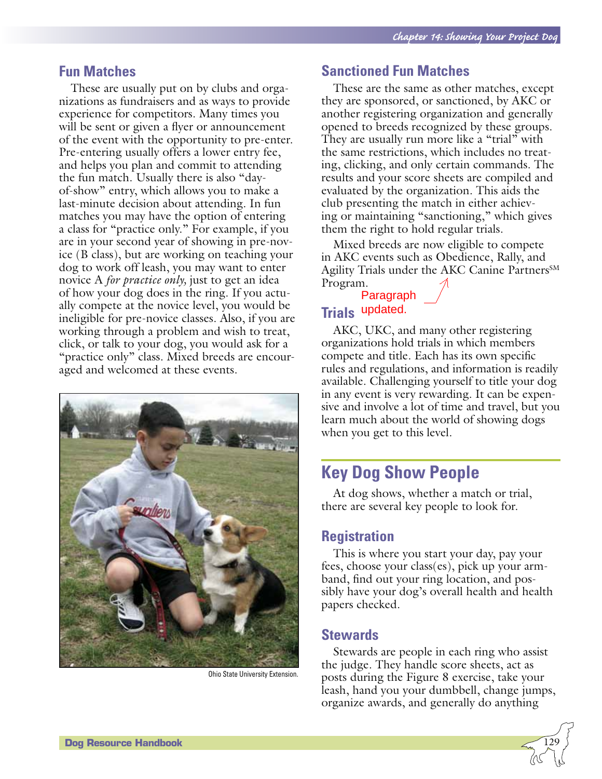### **Fun Matches**

These are usually put on by clubs and organizations as fundraisers and as ways to provide experience for competitors. Many times you will be sent or given a flyer or announcement of the event with the opportunity to pre-enter. Pre-entering usually offers a lower entry fee, and helps you plan and commit to attending the fun match. Usually there is also "dayof-show" entry, which allows you to make a last-minute decision about attending. In fun matches you may have the option of entering a class for "practice only." For example, if you are in your second year of showing in pre-novice (B class), but are working on teaching your dog to work off leash, you may want to enter novice A *for practice only,* just to get an idea of how your dog does in the ring. If you actually compete at the novice level, you would be ineligible for pre-novice classes. Also, if you are working through a problem and wish to treat, click, or talk to your dog, you would ask for a "practice only" class. Mixed breeds are encouraged and welcomed at these events.



Ohio State University Extension.

#### **Sanctioned Fun Matches**

These are the same as other matches, except they are sponsored, or sanctioned, by AKC or another registering organization and generally opened to breeds recognized by these groups. They are usually run more like a "trial" with the same restrictions, which includes no treating, clicking, and only certain commands. The results and your score sheets are compiled and evaluated by the organization. This aids the club presenting the match in either achieving or maintaining "sanctioning," which gives them the right to hold regular trials.

Mixed breeds are now eligible to compete in AKC events such as Obedience, Rally, and Agility Trials under the AKC Canine Partners<sup>SM</sup> Program.

### **Trials** updated.Paragraph

AKC, UKC, and many other registering organizations hold trials in which members compete and title. Each has its own specific rules and regulations, and information is readily available. Challenging yourself to title your dog in any event is very rewarding. It can be expensive and involve a lot of time and travel, but you learn much about the world of showing dogs when you get to this level.

## **Key Dog Show People**

At dog shows, whether a match or trial, there are several key people to look for.

#### **Registration**

This is where you start your day, pay your fees, choose your class(es), pick up your armband, find out your ring location, and possibly have your dog's overall health and health papers checked.

#### **Stewards**

Stewards are people in each ring who assist the judge. They handle score sheets, act as posts during the Figure 8 exercise, take your leash, hand you your dumbbell, change jumps, organize awards, and generally do anything

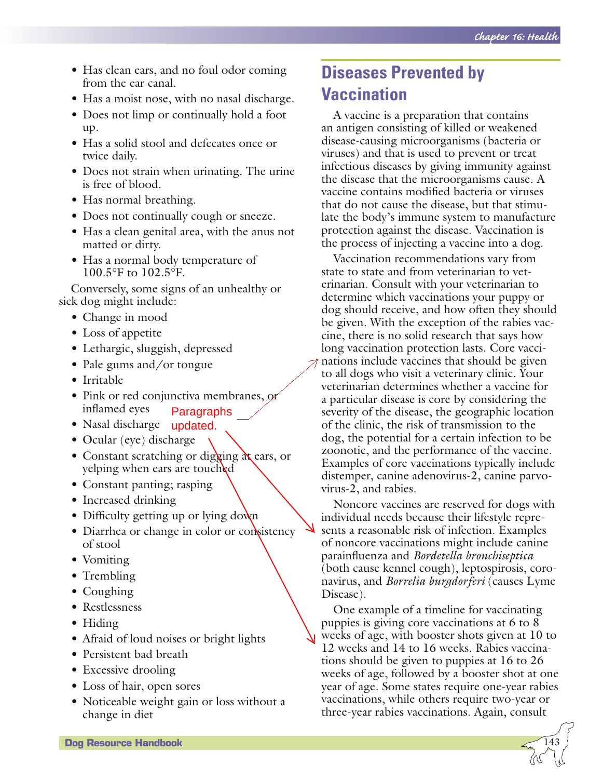- Has clean ears, and no foul odor coming from the ear canal.
- Has a moist nose, with no nasal discharge.
- Does not limp or continually hold a foot up.
- Has a solid stool and defecates once or twice daily.
- Does not strain when urinating. The urine is free of blood.
- Has normal breathing.
- Does not continually cough or sneeze.
- Has a clean genital area, with the anus not matted or dirty.
- Has a normal body temperature of 100.5°F to 102.5°F.

Conversely, some signs of an unhealthy or sick dog might include:

- Change in mood
- Loss of appetite
- Lethargic, sluggish, depressed
- Pale gums and/or tongue
- Irritable
- Pink or red conjunctiva membranes, or inflamed eyes Paragraphs
- Nasal discharge updated.
	- Ocular (eye) discharge
	- Constant scratching or digging  $\alpha$  ears, or yelping when ears are touched
	- Constant panting; rasping
	- Increased drinking
	- Difficulty getting up or lying down
	- Diarrhea or change in color or consistency of stool
	- Vomiting
	- Trembling
	- Coughing
	- Restlessness
	- Hiding
	- Afraid of loud noises or bright lights
	- Persistent bad breath
	- Excessive drooling
	- Loss of hair, open sores
	- Noticeable weight gain or loss without a change in diet

# **Diseases Prevented by Vaccination**

A vaccine is a preparation that contains an antigen consisting of killed or weakened disease-causing microorganisms (bacteria or viruses) and that is used to prevent or treat infectious diseases by giving immunity against the disease that the microorganisms cause. A vaccine contains modified bacteria or viruses that do not cause the disease, but that stimulate the body's immune system to manufacture protection against the disease. Vaccination is the process of injecting a vaccine into a dog.

Vaccination recommendations vary from state to state and from veterinarian to veterinarian. Consult with your veterinarian to determine which vaccinations your puppy or dog should receive, and how often they should be given. With the exception of the rabies vaccine, there is no solid research that says how long vaccination protection lasts. Core vaccinations include vaccines that should be given to all dogs who visit a veterinary clinic. Your veterinarian determines whether a vaccine for a particular disease is core by considering the severity of the disease, the geographic location of the clinic, the risk of transmission to the dog, the potential for a certain infection to be zoonotic, and the performance of the vaccine. Examples of core vaccinations typically include distemper, canine adenovirus-2, canine parvovirus-2, and rabies.

Noncore vaccines are reserved for dogs with individual needs because their lifestyle represents a reasonable risk of infection. Examples of noncore vaccinations might include canine parainfluenza and *Bordetella bronchiseptica* (both cause kennel cough), leptospirosis, coronavirus, and *Borrelia burgdorferi* (causes Lyme Disease).

One example of a timeline for vaccinating puppies is giving core vaccinations at 6 to 8 weeks of age, with booster shots given at 10 to 12 weeks and 14 to 16 weeks. Rabies vaccinations should be given to puppies at 16 to 26 weeks of age, followed by a booster shot at one year of age. Some states require one-year rabies vaccinations, while others require two-year or three-year rabies vaccinations. Again, consult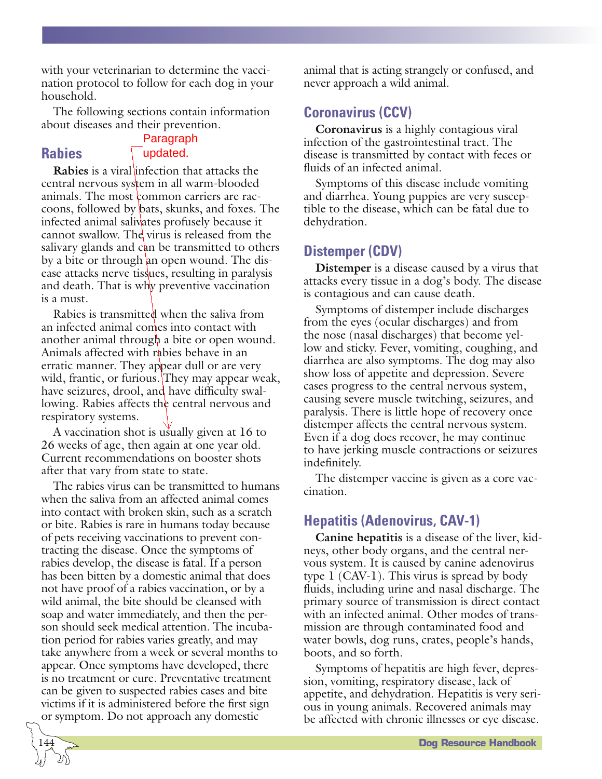with your veterinarian to determine the vaccination protocol to follow for each dog in your household.

The following sections contain information about diseases and their prevention.

### **Rabies**

 $\overline{\phantom{0}}$ 144

#### Paragraph updated.

**Rabies** is a viral infection that attacks the central nervous system in all warm-blooded animals. The most common carriers are raccoons, followed by bats, skunks, and foxes. The infected animal salivates profusely because it cannot swallow. The virus is released from the salivary glands and can be transmitted to others by a bite or through an open wound. The disease attacks nerve tissues, resulting in paralysis and death. That is why preventive vaccination is a must.

Rabies is transmitted when the saliva from an infected animal comes into contact with another animal through a bite or open wound. Animals affected with rabies behave in an erratic manner. They appear dull or are very wild, frantic, or furious. They may appear weak, have seizures, drool, and have difficulty swallowing. Rabies affects the central nervous and respiratory systems.

A vaccination shot is usually given at 16 to 26 weeks of age, then again at one year old. Current recommendations on booster shots after that vary from state to state.

The rabies virus can be transmitted to humans when the saliva from an affected animal comes into contact with broken skin, such as a scratch or bite. Rabies is rare in humans today because of pets receiving vaccinations to prevent contracting the disease. Once the symptoms of rabies develop, the disease is fatal. If a person has been bitten by a domestic animal that does not have proof of a rabies vaccination, or by a wild animal, the bite should be cleansed with soap and water immediately, and then the person should seek medical attention. The incubation period for rabies varies greatly, and may take anywhere from a week or several months to appear. Once symptoms have developed, there is no treatment or cure. Preventative treatment can be given to suspected rabies cases and bite victims if it is administered before the first sign or symptom. Do not approach any domestic

animal that is acting strangely or confused, and never approach a wild animal.

### **Coronavirus (CCV)**

**Coronavirus** is a highly contagious viral infection of the gastrointestinal tract. The disease is transmitted by contact with feces or fluids of an infected animal.

Symptoms of this disease include vomiting and diarrhea. Young puppies are very susceptible to the disease, which can be fatal due to dehydration.

### **Distemper (CDV)**

**Distemper** is a disease caused by a virus that attacks every tissue in a dog's body. The disease is contagious and can cause death.

Symptoms of distemper include discharges from the eyes (ocular discharges) and from the nose (nasal discharges) that become yellow and sticky. Fever, vomiting, coughing, and diarrhea are also symptoms. The dog may also show loss of appetite and depression. Severe cases progress to the central nervous system, causing severe muscle twitching, seizures, and paralysis. There is little hope of recovery once distemper affects the central nervous system. Even if a dog does recover, he may continue to have jerking muscle contractions or seizures indefinitely.

The distemper vaccine is given as a core vaccination.

### **Hepatitis (Adenovirus, CAV-1)**

**Canine hepatitis** is a disease of the liver, kidneys, other body organs, and the central nervous system. It is caused by canine adenovirus type 1 (CAV-1). This virus is spread by body fluids, including urine and nasal discharge. The primary source of transmission is direct contact with an infected animal. Other modes of transmission are through contaminated food and water bowls, dog runs, crates, people's hands, boots, and so forth.

Symptoms of hepatitis are high fever, depression, vomiting, respiratory disease, lack of appetite, and dehydration. Hepatitis is very serious in young animals. Recovered animals may be affected with chronic illnesses or eye disease.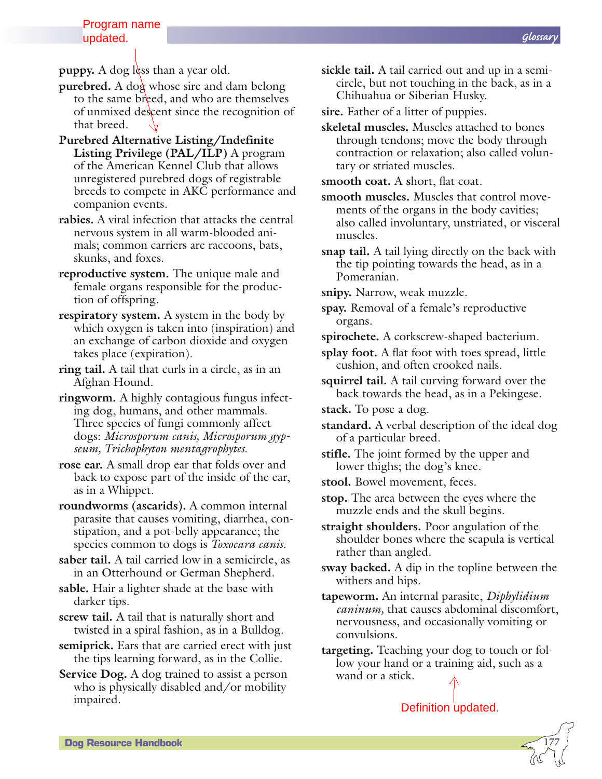**puppy.** A dog less than a year old.

- **purebred.** A dog whose sire and dam belong to the same breed, and who are themselves of unmixed descent since the recognition of that breed.
- **Purebred Alternative Listing/Indefinite Listing Privilege (PAL/ILP)** A program of the American Kennel Club that allows unregistered purebred dogs of registrable breeds to compete in AKC performance and companion events.
- **rabies.** A viral infection that attacks the central nervous system in all warm-blooded animals; common carriers are raccoons, bats, skunks, and foxes.
- **reproductive system.** The unique male and female organs responsible for the production of offspring.
- **respiratory system.** A system in the body by which oxygen is taken into (inspiration) and an exchange of carbon dioxide and oxygen takes place (expiration).
- **ring tail.** A tail that curls in a circle, as in an Afghan Hound.
- **ringworm.** A highly contagious fungus infecting dog, humans, and other mammals. Three species of fungi commonly affect dogs: *Microsporum canis, Microsporum gypseum, Trichophyton mentagrophytes.*
- **rose ear.** A small drop ear that folds over and back to expose part of the inside of the ear, as in a Whippet.
- **roundworms (ascarids).** A common internal parasite that causes vomiting, diarrhea, constipation, and a pot-belly appearance; the species common to dogs is *Toxocara canis.*
- **saber tail.** A tail carried low in a semicircle, as in an Otterhound or German Shepherd.
- **sable.** Hair a lighter shade at the base with darker tips.
- **screw tail.** A tail that is naturally short and twisted in a spiral fashion, as in a Bulldog.
- **semiprick.** Ears that are carried erect with just the tips learning forward, as in the Collie.
- **Service Dog.** A dog trained to assist a person who is physically disabled and/or mobility impaired.
- **sickle tail.** A tail carried out and up in a semicircle, but not touching in the back, as in a Chihuahua or Siberian Husky.
- **sire.** Father of a litter of puppies.
- **skeletal muscles.** Muscles attached to bones through tendons; move the body through contraction or relaxation; also called voluntary or striated muscles.

**smooth coat.** A **s**hort, flat coat.

- **smooth muscles.** Muscles that control movements of the organs in the body cavities; also called involuntary, unstriated, or visceral muscles.
- **snap tail.** A tail lying directly on the back with the tip pointing towards the head, as in a Pomeranian.
- **snipy.** Narrow, weak muzzle.
- **spay.** Removal of a female's reproductive organs.
- **spirochete.** A corkscrew-shaped bacterium.
- **splay foot.** A flat foot with toes spread, little cushion, and often crooked nails.
- **squirrel tail.** A tail curving forward over the back towards the head, as in a Pekingese.
- **stack.** To pose a dog.
- **standard.** A verbal description of the ideal dog of a particular breed.
- **stifle.** The joint formed by the upper and lower thighs; the dog's knee.
- **stool.** Bowel movement, feces.
- **stop.** The area between the eyes where the muzzle ends and the skull begins.
- **straight shoulders.** Poor angulation of the shoulder bones where the scapula is vertical rather than angled.
- **sway backed.** A dip in the topline between the withers and hips.
- **tapeworm.** An internal parasite, *Diphylidium caninum,* that causes abdominal discomfort, nervousness, and occasionally vomiting or convulsions.
- **targeting.** Teaching your dog to touch or follow your hand or a training aid, such as a wand or a stick.

```
Definition updated.
```
*Glossary*